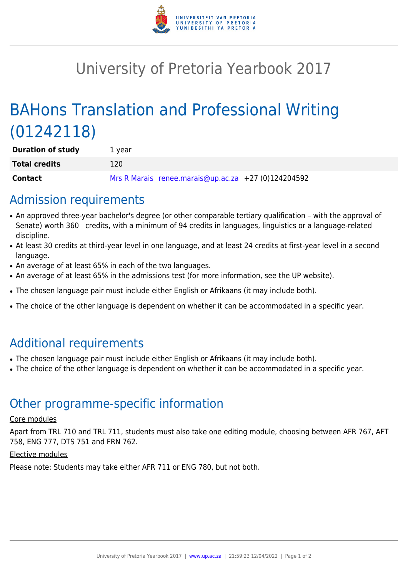

# University of Pretoria Yearbook 2017

# BAHons Translation and Professional Writing (01242118)

| <b>Duration of study</b> | 1 vear       |                                                     |  |
|--------------------------|--------------|-----------------------------------------------------|--|
| <b>Total credits</b>     | <u> 120 </u> |                                                     |  |
| <b>Contact</b>           |              | Mrs R Marais renee.marais@up.ac.za +27 (0)124204592 |  |

### Admission requirements

- An approved three-year bachelor's degree (or other comparable tertiary qualification with the approval of Senate) worth 360 credits, with a minimum of 94 credits in languages, linguistics or a language-related discipline.
- At least 30 credits at third-year level in one language, and at least 24 credits at first-year level in a second language.
- An average of at least 65% in each of the two languages.
- An average of at least 65% in the admissions test (for more information, see the UP website).
- The chosen language pair must include either English or Afrikaans (it may include both).
- The choice of the other language is dependent on whether it can be accommodated in a specific year.

## Additional requirements

- The chosen language pair must include either English or Afrikaans (it may include both).
- The choice of the other language is dependent on whether it can be accommodated in a specific year.

### Other programme-specific information

#### Core modules

Apart from TRL 710 and TRL 711, students must also take one editing module, choosing between AFR 767, AFT 758, ENG 777, DTS 751 and FRN 762.

#### Elective modules

Please note: Students may take either AFR 711 or ENG 780, but not both.